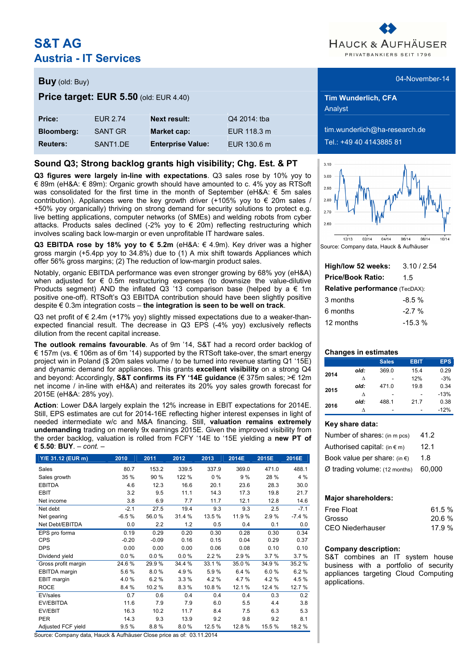# **S&T AG Austria - IT Services**



Analyst

 $\lim_{n \to \infty}$ wunderlich@ha-research.de **Reuters:** SANT1.DE **Enterprise Value:** EUR 130.6 m Tel.: +49 40 4143885 81



Source: Company data, Hauck & Aufhäuser

| High/low 52 weeks:                    | 3.10/2.54 |  |  |  |  |  |  |  |
|---------------------------------------|-----------|--|--|--|--|--|--|--|
| <b>Price/Book Ratio:</b>              | 15        |  |  |  |  |  |  |  |
| <b>Relative performance (TecDAX):</b> |           |  |  |  |  |  |  |  |
| 3 months                              | $-8.5 \%$ |  |  |  |  |  |  |  |
| 6 months                              | $-2.7%$   |  |  |  |  |  |  |  |
| 12 months                             | $-15.3%$  |  |  |  |  |  |  |  |

#### **Changes in estimates**

|      |      | <b>Sales</b> | <b>EBIT</b> | <b>EPS</b> |
|------|------|--------------|-------------|------------|
| 2014 | old: | 369.0        | 15.4        | 0.29       |
|      | л    |              | 12%         | $-3%$      |
| 2015 | old: | 471.0        | 19.8        | 0.34       |
|      | л    |              |             | $-13%$     |
| 2016 | old: | 488.1        | 21.7        | 0.38       |
|      |      |              |             | $-12%$     |

#### **Key share data:**

| Number of shares: (in m pcs)           | 41.2   |
|----------------------------------------|--------|
| Authorised capital: $(in \in m)$       | 12.1   |
| Book value per share: (in $\epsilon$ ) | 1.8    |
| $Ø$ trading volume: (12 months)        | 60.000 |

#### **Major shareholders:**

| Free Float       | 61.5 % |
|------------------|--------|
| Grosso           | 20.6%  |
| CEO Niederhauser | 17.9%  |

#### **Company description:**

S&T combines an IT system house business with a portfolio of security appliances targeting Cloud Computing applications.

### **Price target: EUR 5.50** (old: EUR 4.40) **Tim Wunderlich, CFA**

| Price:            | <b>FUR 2.74</b>      | <b>Next result:</b>      | Q4 2014: tba |
|-------------------|----------------------|--------------------------|--------------|
| <b>Bloomberg:</b> | SANT GR              | Market cap:              | EUR 118.3 m  |
| <b>Reuters:</b>   | SANT <sub>1</sub> DF | <b>Enterprise Value:</b> | EUR 130.6 m  |

### **Sound Q3; Strong backlog grants high visibility; Chg. Est. & PT**

**Q3 figures were largely in-line with expectations**. Q3 sales rose by 10% yoy to € 89m (eH&A: € 89m): Organic growth should have amounted to c. 4% yoy as RTSoft was consolidated for the first time in the month of September (eH&A:  $\in$  5m sales contribution). Appliances were the key growth driver (+105% yoy to  $\epsilon$  20m sales / +50% yoy organically) thriving on strong demand for security solutions to protect e.g. live betting applications, computer networks (of SMEs) and welding robots from cyber attacks. Products sales declined (-2% yoy to  $\epsilon$  20m) reflecting restructuring which involves scaling back low-margin or even unprofitable IT hardware sales.

**Q3 EBITDA rose by 18% yoy to € 5.2m** (eH&A: € 4.9m). Key driver was a higher gross margin (+5.4pp yoy to 34.8%) due to (1) A mix shift towards Appliances which offer 56% gross margins; (2) The reduction of low-margin product sales.

Notably, organic EBITDA performance was even stronger growing by 68% yoy (eH&A) when adjusted for € 0.5m restructuring expenses (to downsize the value-dilutive Products segment) AND the inflated Q3 '13 comparison base (helped by a € 1m positive one-off). RTSoft's Q3 EBITDA contribution should have been slightly positive despite € 0.3m integration costs – **the integration is seen to be well on track**.

Q3 net profit of  $\epsilon$  2.4m (+17% yoy) slightly missed expectations due to a weaker-thanexpected financial result. The decrease in Q3 EPS (-4% yoy) exclusively reflects dilution from the recent capital increase.

**The outlook remains favourable**. As of 9m '14, S&T had a record order backlog of € 157m (vs. € 106m as of 6m '14) supported by the RTSoft take-over, the smart energy project win in Poland (\$ 20m sales volume / to be turned into revenue starting Q1 '15E) and dynamic demand for appliances. This grants **excellent visibility** on a strong Q4 and beyond: Accordingly, **S&T confirms its FY '14E guidance** (€ 375m sales; >€ 12m net income / in-line with eH&A) and reiterates its 20% yoy sales growth forecast for 2015E (eH&A: 28% yoy).

**Action**: Lower D&A largely explain the 12% increase in EBIT expectations for 2014E. Still, EPS estimates are cut for 2014-16E reflecting higher interest expenses in light of needed intermediate w/c and M&A financing. Still, **valuation remains extremely undemanding** trading on merely 9x earnings 2015E. Given the improved visibility from the order backlog, valuation is rolled from FCFY '14E to '15E yielding a **new PT of € 5.50**: **BUY**. *– cont. –*

| Y/E 31.12 (EUR m)    | 2010    | 2011    | 2012   | 2013   | 2014E  | 2015E  | 2016E   |
|----------------------|---------|---------|--------|--------|--------|--------|---------|
| Sales                | 80.7    | 153.2   | 339.5  | 337.9  | 369.0  | 471.0  | 488.1   |
| Sales growth         | 35 %    | 90 %    | 122 %  | $0\%$  | 9%     | 28 %   | 4 %     |
| <b>EBITDA</b>        | 4.6     | 12.3    | 16.6   | 20.1   | 23.6   | 28.3   | 30.0    |
| <b>EBIT</b>          | 3.2     | 9.5     | 11.1   | 14.3   | 17.3   | 19.8   | 21.7    |
| Net income           | 3.8     | 6.9     | 7.7    | 11.7   | 12.1   | 12.8   | 14.6    |
| Net debt             | $-2.1$  | 27.5    | 19.4   | 9.3    | 9.3    | 2.5    | $-7.1$  |
| Net gearing          | $-6.5%$ | 56.0%   | 31.4 % | 13.5 % | 11.9%  | 2.9%   | $-7.4%$ |
| Net Debt/EBITDA      | 0.0     | 2.2     | 1.2    | 0.5    | 0.4    | 0.1    | 0.0     |
| EPS pro forma        | 0.19    | 0.29    | 0.20   | 0.30   | 0.28   | 0.30   | 0.34    |
| <b>CPS</b>           | $-0.20$ | $-0.09$ | 0.16   | 0.15   | 0.04   | 0.29   | 0.37    |
| <b>DPS</b>           | 0.00    | 0.00    | 0.00   | 0.06   | 0.08   | 0.10   | 0.10    |
| Dividend yield       | 0.0%    | 0.0%    | 0.0%   | 2.2%   | 2.9%   | 3.7%   | 3.7%    |
| Gross profit margin  | 24.6%   | 29.9%   | 34.4 % | 33.1%  | 35.0%  | 34.9%  | 35.2 %  |
| <b>EBITDA</b> margin | 5.6%    | 8.0%    | 4.9%   | 5.9%   | 6.4%   | 6.0%   | 6.2%    |
| <b>EBIT</b> margin   | 4.0%    | 6.2%    | 3.3%   | 4.2%   | 4.7%   | 4.2%   | 4.5%    |
| <b>ROCE</b>          | 8.4 %   | 10.2 %  | 8.3%   | 10.8%  | 12.1 % | 12.4 % | 12.7 %  |
| EV/sales             | 0.7     | 0.6     | 0.4    | 0.4    | 0.4    | 0.3    | 0.2     |
| EV/EBITDA            | 11.6    | 7.9     | 7.9    | 6.0    | 5.5    | 4.4    | 3.8     |
| EV/EBIT              | 16.3    | 10.2    | 11.7   | 8.4    | 7.5    | 6.3    | 5.3     |
| <b>PER</b>           | 14.3    | 9.3     | 13.9   | 9.2    | 9.8    | 9.2    | 8.1     |
| Adjusted FCF yield   | 9.5%    | 8.8%    | 8.0%   | 12.5 % | 12.8%  | 15.5 % | 18.2 %  |

Source: Company data, Hauck & Aufhäuser Close price as of: 03.11.2014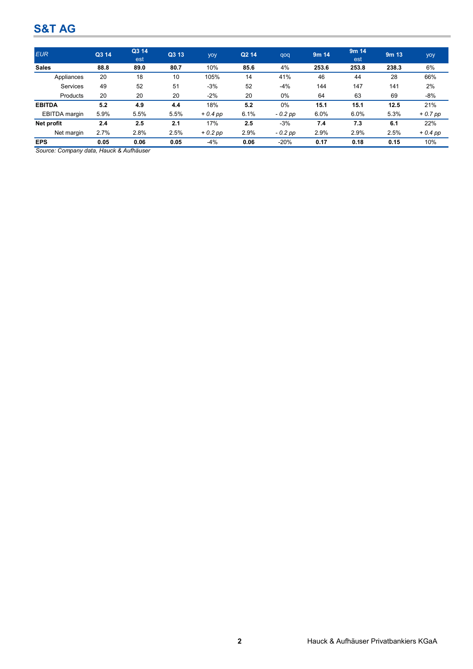| <b>EUR</b>           | Q3 14 | Q3 14<br>est | Q3 13 | yoy       | Q <sub>2</sub> 14 | qoq       | 9m <sub>14</sub> | 9m <sub>14</sub><br>est | 9 <sub>m</sub> 13 | yoy       |
|----------------------|-------|--------------|-------|-----------|-------------------|-----------|------------------|-------------------------|-------------------|-----------|
| <b>Sales</b>         | 88.8  | 89.0         | 80.7  | 10%       | 85.6              | 4%        | 253.6            | 253.8                   | 238.3             | 6%        |
| Appliances           | 20    | 18           | 10    | 105%      | 14                | 41%       | 46               | 44                      | 28                | 66%       |
| Services             | 49    | 52           | 51    | $-3%$     | 52                | $-4%$     | 144              | 147                     | 141               | 2%        |
| Products             | 20    | 20           | 20    | $-2%$     | 20                | 0%        | 64               | 63                      | 69                | -8%       |
| <b>EBITDA</b>        | 5.2   | 4.9          | 4.4   | 18%       | 5.2               | 0%        | 15.1             | 15.1                    | 12.5              | 21%       |
| <b>EBITDA</b> margin | 5.9%  | 5.5%         | 5.5%  | $+0.4$ pp | 6.1%              | $-0.2$ pp | 6.0%             | 6.0%                    | 5.3%              | $+0.7$ pp |
| Net profit           | 2.4   | 2.5          | 2.1   | 17%       | 2.5               | $-3%$     | 7.4              | 7.3                     | 6.1               | 22%       |
| Net margin           | 2.7%  | 2.8%         | 2.5%  | $+0.2$ pp | 2.9%              | $-0.2$ pp | 2.9%             | 2.9%                    | 2.5%              | $+0.4$ pp |
| <b>EPS</b>           | 0.05  | 0.06         | 0.05  | $-4%$     | 0.06              | $-20%$    | 0.17             | 0.18                    | 0.15              | 10%       |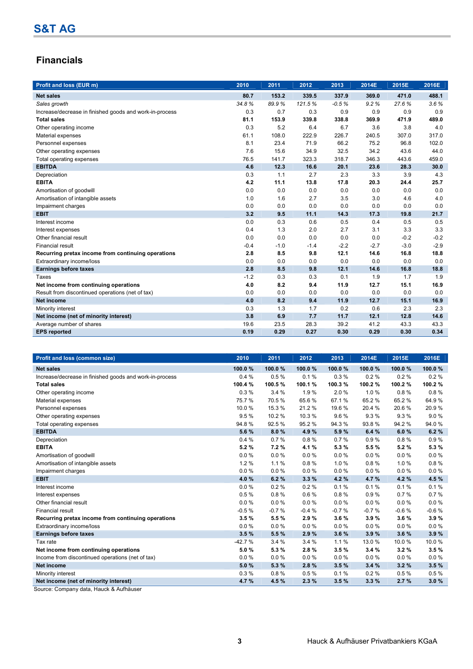## **Financials**

| <b>Profit and loss (EUR m)</b>                          | 2010   | 2011   | 2012   | 2013    | 2014E  | 2015E  | 2016E  |
|---------------------------------------------------------|--------|--------|--------|---------|--------|--------|--------|
| <b>Net sales</b>                                        | 80.7   | 153.2  | 339.5  | 337.9   | 369.0  | 471.0  | 488.1  |
| Sales growth                                            | 34.8%  | 89.9%  | 121.5% | $-0.5%$ | 9.2%   | 27.6%  | 3.6%   |
| Increase/decrease in finished goods and work-in-process | 0.3    | 0.7    | 0.3    | 0.9     | 0.9    | 0.9    | 0.9    |
| <b>Total sales</b>                                      | 81.1   | 153.9  | 339.8  | 338.8   | 369.9  | 471.9  | 489.0  |
| Other operating income                                  | 0.3    | 5.2    | 6.4    | 6.7     | 3.6    | 3.8    | 4.0    |
| Material expenses                                       | 61.1   | 108.0  | 222.9  | 226.7   | 240.5  | 307.0  | 317.0  |
| Personnel expenses                                      | 8.1    | 23.4   | 71.9   | 66.2    | 75.2   | 96.8   | 102.0  |
| Other operating expenses                                | 7.6    | 15.6   | 34.9   | 32.5    | 34.2   | 43.6   | 44.0   |
| Total operating expenses                                | 76.5   | 141.7  | 323.3  | 318.7   | 346.3  | 443.6  | 459.0  |
| <b>EBITDA</b>                                           | 4.6    | 12.3   | 16.6   | 20.1    | 23.6   | 28.3   | 30.0   |
| Depreciation                                            | 0.3    | 1.1    | 2.7    | 2.3     | 3.3    | 3.9    | 4.3    |
| <b>EBITA</b>                                            | 4.2    | 11.1   | 13.8   | 17.8    | 20.3   | 24.4   | 25.7   |
| Amortisation of goodwill                                | 0.0    | 0.0    | 0.0    | 0.0     | 0.0    | 0.0    | 0.0    |
| Amortisation of intangible assets                       | 1.0    | 1.6    | 2.7    | 3.5     | 3.0    | 4.6    | 4.0    |
| Impairment charges                                      | 0.0    | 0.0    | 0.0    | 0.0     | 0.0    | 0.0    | 0.0    |
| <b>EBIT</b>                                             | 3.2    | 9.5    | 11.1   | 14.3    | 17.3   | 19.8   | 21.7   |
| Interest income                                         | 0.0    | 0.3    | 0.6    | 0.5     | 0.4    | 0.5    | 0.5    |
| Interest expenses                                       | 0.4    | 1.3    | 2.0    | 2.7     | 3.1    | 3.3    | 3.3    |
| Other financial result                                  | 0.0    | 0.0    | 0.0    | 0.0     | 0.0    | $-0.2$ | $-0.2$ |
| <b>Financial result</b>                                 | $-0.4$ | $-1.0$ | $-1.4$ | $-2.2$  | $-2.7$ | $-3.0$ | $-2.9$ |
| Recurring pretax income from continuing operations      | 2.8    | 8.5    | 9.8    | 12.1    | 14.6   | 16.8   | 18.8   |
| Extraordinary income/loss                               | 0.0    | 0.0    | 0.0    | 0.0     | 0.0    | 0.0    | 0.0    |
| <b>Earnings before taxes</b>                            | 2.8    | 8.5    | 9.8    | 12.1    | 14.6   | 16.8   | 18.8   |
| Taxes                                                   | $-1.2$ | 0.3    | 0.3    | 0.1     | 1.9    | 1.7    | 1.9    |
| Net income from continuing operations                   | 4.0    | 8.2    | 9.4    | 11.9    | 12.7   | 15.1   | 16.9   |
| Result from discontinued operations (net of tax)        | 0.0    | 0.0    | 0.0    | 0.0     | 0.0    | 0.0    | 0.0    |
| <b>Net income</b>                                       | 4.0    | 8.2    | 9.4    | 11.9    | 12.7   | 15.1   | 16.9   |
| Minority interest                                       | 0.3    | 1.3    | 1.7    | 0.2     | 0.6    | 2.3    | 2.3    |
| Net income (net of minority interest)                   | 3.8    | 6.9    | 7.7    | 11.7    | 12.1   | 12.8   | 14.6   |
| Average number of shares                                | 19.6   | 23.5   | 28.3   | 39.2    | 41.2   | 43.3   | 43.3   |
| <b>EPS reported</b>                                     | 0.19   | 0.29   | 0.27   | 0.30    | 0.29   | 0.30   | 0.34   |

| Profit and loss (common size)                           | 2010     | 2011     | 2012     | 2013    | 2014E    | 2015E   | 2016E   |
|---------------------------------------------------------|----------|----------|----------|---------|----------|---------|---------|
| <b>Net sales</b>                                        | 100.0%   | 100.0%   | 100.0%   | 100.0%  | 100.0%   | 100.0%  | 100.0%  |
| Increase/decrease in finished goods and work-in-process | 0.4%     | 0.5%     | 0.1%     | 0.3%    | 0.2%     | 0.2%    | 0.2%    |
| <b>Total sales</b>                                      | 100.4 %  | 100.5%   | 100.1%   | 100.3%  | 100.2%   | 100.2%  | 100.2%  |
| Other operating income                                  | 0.3%     | 3.4%     | 1.9%     | 2.0%    | 1.0%     | 0.8%    | 0.8%    |
| Material expenses                                       | 75.7%    | 70.5%    | 65.6%    | 67.1%   | 65.2%    | 65.2%   | 64.9%   |
| Personnel expenses                                      | 10.0%    | 15.3 %   | 21.2%    | 19.6%   | 20.4 %   | 20.6%   | 20.9%   |
| Other operating expenses                                | 9.5%     | 10.2%    | 10.3%    | 9.6%    | 9.3%     | 9.3%    | 9.0%    |
| Total operating expenses                                | 94.8%    | 92.5%    | 95.2%    | 94.3%   | 93.8%    | 94.2%   | 94.0%   |
| <b>EBITDA</b>                                           | 5.6 %    | 8.0%     | 4.9%     | 5.9%    | 6.4 %    | 6.0%    | 6.2%    |
| Depreciation                                            | 0.4%     | 0.7%     | 0.8%     | 0.7%    | 0.9%     | 0.8%    | 0.9%    |
| <b>EBITA</b>                                            | 5.2%     | 7.2%     | 4.1%     | 5.3%    | 5.5 %    | 5.2%    | 5.3%    |
| Amortisation of goodwill                                | 0.0%     | $0.0 \%$ | 0.0%     | 0.0%    | 0.0%     | 0.0%    | 0.0%    |
| Amortisation of intangible assets                       | 1.2%     | 1.1%     | 0.8%     | 1.0%    | 0.8%     | 1.0%    | 0.8%    |
| Impairment charges                                      | 0.0%     | $0.0 \%$ | 0.0%     | 0.0%    | $0.0 \%$ | 0.0%    | 0.0%    |
| <b>EBIT</b>                                             | 4.0%     | 6.2%     | 3.3%     | 4.2%    | 4.7%     | 4.2%    | 4.5 %   |
| Interest income                                         | 0.0%     | 0.2%     | 0.2%     | 0.1%    | 0.1%     | 0.1%    | 0.1%    |
| Interest expenses                                       | 0.5%     | 0.8%     | 0.6%     | 0.8%    | 0.9%     | 0.7%    | 0.7%    |
| Other financial result                                  | 0.0%     | 0.0%     | 0.0%     | 0.0%    | $0.0 \%$ | 0.0%    | 0.0%    |
| <b>Financial result</b>                                 | $-0.5%$  | $-0.7%$  | $-0.4%$  | $-0.7%$ | $-0.7%$  | $-0.6%$ | $-0.6%$ |
| Recurring pretax income from continuing operations      | 3.5%     | 5.5%     | 2.9%     | 3.6%    | 3.9%     | 3.6%    | 3.9%    |
| Extraordinary income/loss                               | 0.0%     | $0.0 \%$ | $0.0 \%$ | 0.0%    | $0.0 \%$ | 0.0%    | 0.0%    |
| <b>Earnings before taxes</b>                            | 3.5%     | 5.5 %    | 2.9%     | 3.6%    | 3.9%     | 3.6%    | 3.9%    |
| Tax rate                                                | $-42.7%$ | 3.4%     | 3.4%     | 1.1%    | 13.0 %   | 10.0%   | 10.0%   |
| Net income from continuing operations                   | 5.0%     | 5.3 %    | 2.8%     | 3.5%    | 3.4%     | 3.2%    | 3.5%    |
| Income from discontinued operations (net of tax)        | 0.0%     | 0.0%     | $0.0 \%$ | 0.0%    | $0.0 \%$ | 0.0%    | 0.0%    |
| <b>Net income</b>                                       | 5.0%     | 5.3%     | 2.8%     | 3.5%    | 3.4%     | 3.2%    | 3.5%    |
| Minority interest                                       | 0.3%     | 0.8%     | 0.5%     | 0.1%    | 0.2%     | 0.5%    | 0.5%    |
| Net income (net of minority interest)                   | 4.7%     | 4.5 %    | 2.3%     | 3.5%    | 3.3%     | 2.7%    | 3.0%    |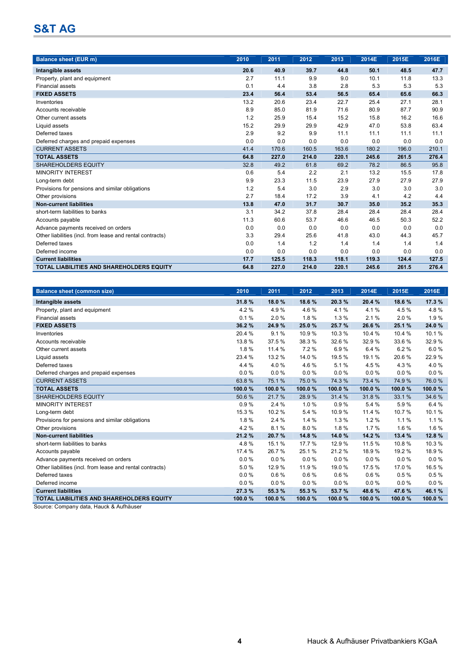| <b>Balance sheet (EUR m)</b>                              | 2010 | 2011  | 2012  | 2013  | 2014E | 2015E | 2016E |
|-----------------------------------------------------------|------|-------|-------|-------|-------|-------|-------|
| Intangible assets                                         | 20.6 | 40.9  | 39.7  | 44.8  | 50.1  | 48.5  | 47.7  |
| Property, plant and equipment                             | 2.7  | 11.1  | 9.9   | 9.0   | 10.1  | 11.8  | 13.3  |
| <b>Financial assets</b>                                   | 0.1  | 4.4   | 3.8   | 2.8   | 5.3   | 5.3   | 5.3   |
| <b>FIXED ASSETS</b>                                       | 23.4 | 56.4  | 53.4  | 56.5  | 65.4  | 65.6  | 66.3  |
| Inventories                                               | 13.2 | 20.6  | 23.4  | 22.7  | 25.4  | 27.1  | 28.1  |
| Accounts receivable                                       | 8.9  | 85.0  | 81.9  | 71.6  | 80.9  | 87.7  | 90.9  |
| Other current assets                                      | 1.2  | 25.9  | 15.4  | 15.2  | 15.8  | 16.2  | 16.6  |
| Liquid assets                                             | 15.2 | 29.9  | 29.9  | 42.9  | 47.0  | 53.8  | 63.4  |
| Deferred taxes                                            | 2.9  | 9.2   | 9.9   | 11.1  | 11.1  | 11.1  | 11.1  |
| Deferred charges and prepaid expenses                     | 0.0  | 0.0   | 0.0   | 0.0   | 0.0   | 0.0   | 0.0   |
| <b>CURRENT ASSETS</b>                                     | 41.4 | 170.6 | 160.5 | 163.6 | 180.2 | 196.0 | 210.1 |
| <b>TOTAL ASSETS</b>                                       | 64.8 | 227.0 | 214.0 | 220.1 | 245.6 | 261.5 | 276.4 |
| <b>SHAREHOLDERS EQUITY</b>                                | 32.8 | 49.2  | 61.8  | 69.2  | 78.2  | 86.5  | 95.8  |
| <b>MINORITY INTEREST</b>                                  | 0.6  | 5.4   | 2.2   | 2.1   | 13.2  | 15.5  | 17.8  |
| Long-term debt                                            | 9.9  | 23.3  | 11.5  | 23.9  | 27.9  | 27.9  | 27.9  |
| Provisions for pensions and similar obligations           | 1.2  | 5.4   | 3.0   | 2.9   | 3.0   | 3.0   | 3.0   |
| Other provisions                                          | 2.7  | 18.4  | 17.2  | 3.9   | 4.1   | 4.2   | 4.4   |
| <b>Non-current liabilities</b>                            | 13.8 | 47.0  | 31.7  | 30.7  | 35.0  | 35.2  | 35.3  |
| short-term liabilities to banks                           | 3.1  | 34.2  | 37.8  | 28.4  | 28.4  | 28.4  | 28.4  |
| Accounts payable                                          | 11.3 | 60.6  | 53.7  | 46.6  | 46.5  | 50.3  | 52.2  |
| Advance payments received on orders                       | 0.0  | 0.0   | 0.0   | 0.0   | 0.0   | 0.0   | 0.0   |
| Other liabilities (incl. from lease and rental contracts) | 3.3  | 29.4  | 25.6  | 41.8  | 43.0  | 44.3  | 45.7  |
| Deferred taxes                                            | 0.0  | 1.4   | 1.2   | 1.4   | 1.4   | 1.4   | 1.4   |
| Deferred income                                           | 0.0  | 0.0   | 0.0   | 0.0   | 0.0   | 0.0   | 0.0   |
| <b>Current liabilities</b>                                | 17.7 | 125.5 | 118.3 | 118.1 | 119.3 | 124.4 | 127.5 |
| <b>TOTAL LIABILITIES AND SHAREHOLDERS EQUITY</b>          | 64.8 | 227.0 | 214.0 | 220.1 | 245.6 | 261.5 | 276.4 |

| <b>Balance sheet (common size)</b>                        | 2010     | 2011     | 2012    | 2013   | 2014E    | 2015E  | 2016E  |
|-----------------------------------------------------------|----------|----------|---------|--------|----------|--------|--------|
| Intangible assets                                         | 31.8%    | 18.0%    | 18.6%   | 20.3%  | 20.4%    | 18.6%  | 17.3 % |
| Property, plant and equipment                             | 4.2%     | 4.9%     | 4.6%    | 4.1%   | 4.1%     | 4.5 %  | 4.8%   |
| <b>Financial assets</b>                                   | 0.1%     | 2.0%     | 1.8%    | 1.3%   | 2.1%     | 2.0%   | 1.9%   |
| <b>FIXED ASSETS</b>                                       | 36.2%    | 24.9 %   | 25.0%   | 25.7%  | 26.6%    | 25.1 % | 24.0%  |
| Inventories                                               | 20.4 %   | 9.1%     | 10.9%   | 10.3%  | 10.4 %   | 10.4 % | 10.1%  |
| Accounts receivable                                       | 13.8%    | 37.5 %   | 38.3 %  | 32.6%  | 32.9%    | 33.6%  | 32.9%  |
| Other current assets                                      | 1.8%     | 11.4 %   | 7.2%    | 6.9%   | 6.4 %    | 6.2%   | 6.0%   |
| Liquid assets                                             | 23.4 %   | 13.2 %   | 14.0 %  | 19.5 % | 19.1%    | 20.6%  | 22.9%  |
| Deferred taxes                                            | 4.4%     | 4.0%     | 4.6 %   | 5.1%   | 4.5 %    | 4.3%   | 4.0%   |
| Deferred charges and prepaid expenses                     | $0.0 \%$ | $0.0\%$  | 0.0%    | 0.0%   | 0.0%     | 0.0%   | 0.0%   |
| <b>CURRENT ASSETS</b>                                     | 63.8%    | 75.1%    | 75.0%   | 74.3%  | 73.4 %   | 74.9%  | 76.0%  |
| <b>TOTAL ASSETS</b>                                       | 100.0%   | 100.0%   | 100.0%  | 100.0% | 100.0%   | 100.0% | 100.0% |
| <b>SHAREHOLDERS EQUITY</b>                                | 50.6%    | 21.7%    | 28.9%   | 31.4 % | 31.8%    | 33.1 % | 34.6%  |
| <b>MINORITY INTEREST</b>                                  | 0.9%     | 2.4%     | 1.0%    | 0.9%   | 5.4 %    | 5.9%   | 6.4%   |
| Long-term debt                                            | 15.3 %   | 10.2%    | 5.4 %   | 10.9%  | 11.4 %   | 10.7%  | 10.1%  |
| Provisions for pensions and similar obligations           | 1.8%     | 2.4%     | 1.4%    | 1.3%   | 1.2%     | 1.1%   | 1.1%   |
| Other provisions                                          | 4.2%     | 8.1%     | 8.0%    | 1.8%   | 1.7%     | 1.6%   | 1.6%   |
| <b>Non-current liabilities</b>                            | 21.2%    | 20.7%    | 14.8%   | 14.0%  | 14.2 %   | 13.4 % | 12.8%  |
| short-term liabilities to banks                           | 4.8%     | 15.1%    | 17.7 %  | 12.9%  | 11.5 %   | 10.8%  | 10.3%  |
| Accounts payable                                          | 17.4 %   | 26.7%    | 25.1%   | 21.2%  | 18.9%    | 19.2 % | 18.9%  |
| Advance payments received on orders                       | 0.0%     | $0.0\%$  | 0.0%    | 0.0%   | 0.0%     | 0.0%   | 0.0%   |
| Other liabilities (incl. from lease and rental contracts) | 5.0%     | 12.9%    | 11.9%   | 19.0 % | 17.5%    | 17.0%  | 16.5%  |
| Deferred taxes                                            | 0.0%     | 0.6%     | 0.6%    | 0.6%   | 0.6%     | 0.5%   | 0.5%   |
| Deferred income                                           | $0.0 \%$ | $0.0 \%$ | 0.0%    | 0.0%   | $0.0 \%$ | 0.0%   | 0.0%   |
| <b>Current liabilities</b>                                | 27.3%    | 55.3 %   | 55.3 %  | 53.7%  | 48.6%    | 47.6%  | 46.1%  |
| TOTAL LIABILITIES AND SHAREHOLDERS EQUITY                 | 100.0%   | 100.0%   | 100.0 % | 100.0% | 100.0 %  | 100.0% | 100.0% |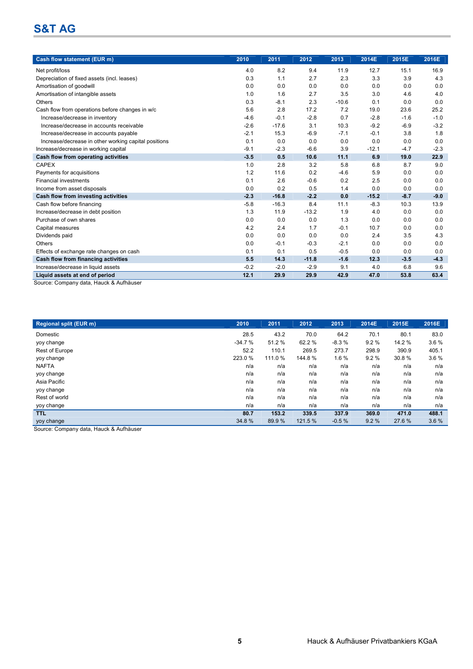| Cash flow statement (EUR m)                                               | 2010   | 2011    | 2012    | 2013    | 2014E   | 2015E  | 2016E  |
|---------------------------------------------------------------------------|--------|---------|---------|---------|---------|--------|--------|
| Net profit/loss                                                           | 4.0    | 8.2     | 9.4     | 11.9    | 12.7    | 15.1   | 16.9   |
| Depreciation of fixed assets (incl. leases)                               | 0.3    | 1.1     | 2.7     | 2.3     | 3.3     | 3.9    | 4.3    |
| Amortisation of goodwill                                                  | 0.0    | 0.0     | 0.0     | 0.0     | 0.0     | 0.0    | 0.0    |
| Amortisation of intangible assets                                         | 1.0    | 1.6     | 2.7     | 3.5     | 3.0     | 4.6    | 4.0    |
| Others                                                                    | 0.3    | $-8.1$  | 2.3     | $-10.6$ | 0.1     | 0.0    | 0.0    |
| Cash flow from operations before changes in w/c                           | 5.6    | 2.8     | 17.2    | 7.2     | 19.0    | 23.6   | 25.2   |
| Increase/decrease in inventory                                            | $-4.6$ | $-0.1$  | $-2.8$  | 0.7     | $-2.8$  | $-1.6$ | $-1.0$ |
| Increase/decrease in accounts receivable                                  | $-2.6$ | $-17.6$ | 3.1     | 10.3    | $-9.2$  | $-6.9$ | $-3.2$ |
| Increase/decrease in accounts payable                                     | $-2.1$ | 15.3    | $-6.9$  | $-7.1$  | $-0.1$  | 3.8    | 1.8    |
| Increase/decrease in other working capital positions                      | 0.1    | 0.0     | 0.0     | 0.0     | 0.0     | 0.0    | 0.0    |
| Increase/decrease in working capital                                      | $-9.1$ | $-2.3$  | $-6.6$  | 3.9     | $-12.1$ | $-4.7$ | $-2.3$ |
| Cash flow from operating activities                                       | $-3.5$ | 0.5     | 10.6    | 11.1    | 6.9     | 19.0   | 22.9   |
| <b>CAPEX</b>                                                              | 1.0    | 2.8     | 3.2     | 5.8     | 6.8     | 8.7    | 9.0    |
| Payments for acquisitions                                                 | 1.2    | 11.6    | 0.2     | $-4.6$  | 5.9     | 0.0    | 0.0    |
| <b>Financial investments</b>                                              | 0.1    | 2.6     | $-0.6$  | 0.2     | 2.5     | 0.0    | 0.0    |
| Income from asset disposals                                               | 0.0    | 0.2     | 0.5     | 1.4     | 0.0     | 0.0    | 0.0    |
| Cash flow from investing activities                                       | $-2.3$ | $-16.8$ | $-2.2$  | 0.0     | $-15.2$ | $-8.7$ | $-9.0$ |
| Cash flow before financing                                                | $-5.8$ | $-16.3$ | 8.4     | 11.1    | $-8.3$  | 10.3   | 13.9   |
| Increase/decrease in debt position                                        | 1.3    | 11.9    | $-13.2$ | 1.9     | 4.0     | 0.0    | 0.0    |
| Purchase of own shares                                                    | 0.0    | 0.0     | 0.0     | 1.3     | 0.0     | 0.0    | 0.0    |
| Capital measures                                                          | 4.2    | 2.4     | 1.7     | $-0.1$  | 10.7    | 0.0    | 0.0    |
| Dividends paid                                                            | 0.0    | 0.0     | 0.0     | 0.0     | 2.4     | 3.5    | 4.3    |
| Others                                                                    | 0.0    | $-0.1$  | $-0.3$  | $-2.1$  | 0.0     | 0.0    | 0.0    |
| Effects of exchange rate changes on cash                                  | 0.1    | 0.1     | 0.5     | $-0.5$  | 0.0     | 0.0    | 0.0    |
| Cash flow from financing activities                                       | 5.5    | 14.3    | $-11.8$ | $-1.6$  | 12.3    | $-3.5$ | $-4.3$ |
| Increase/decrease in liquid assets                                        | $-0.2$ | $-2.0$  | $-2.9$  | 9.1     | 4.0     | 6.8    | 9.6    |
| Liquid assets at end of period<br>Course: Company data Houal, 8 Aufhäuser | 12.1   | 29.9    | 29.9    | 42.9    | 47.0    | 53.8   | 63.4   |

Source: Company data, Hauck & Aufhäuser

| <b>Regional split (EUR m)</b> | 2010     | 2011    | 2012    | 2013    | 2014E | 2015E  | 2016E |
|-------------------------------|----------|---------|---------|---------|-------|--------|-------|
| Domestic                      | 28.5     | 43.2    | 70.0    | 64.2    | 70.1  | 80.1   | 83.0  |
| yoy change                    | $-34.7%$ | 51.2 %  | 62.2 %  | $-8.3%$ | 9.2%  | 14.2 % | 3.6%  |
| Rest of Europe                | 52.2     | 110.1   | 269.5   | 273.7   | 298.9 | 390.9  | 405.1 |
| yoy change                    | 223.0 %  | 111.0 % | 144.8%  | 1.6%    | 9.2%  | 30.8%  | 3.6%  |
| <b>NAFTA</b>                  | n/a      | n/a     | n/a     | n/a     | n/a   | n/a    | n/a   |
| yoy change                    | n/a      | n/a     | n/a     | n/a     | n/a   | n/a    | n/a   |
| Asia Pacific                  | n/a      | n/a     | n/a     | n/a     | n/a   | n/a    | n/a   |
| yoy change                    | n/a      | n/a     | n/a     | n/a     | n/a   | n/a    | n/a   |
| Rest of world                 | n/a      | n/a     | n/a     | n/a     | n/a   | n/a    | n/a   |
| yoy change                    | n/a      | n/a     | n/a     | n/a     | n/a   | n/a    | n/a   |
| <b>TTL</b>                    | 80.7     | 153.2   | 339.5   | 337.9   | 369.0 | 471.0  | 488.1 |
| yoy change                    | 34.8%    | 89.9 %  | 121.5 % | $-0.5%$ | 9.2%  | 27.6%  | 3.6%  |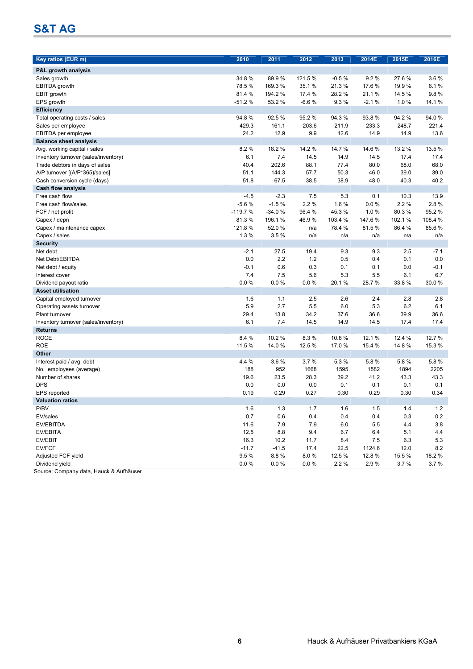| Key ratios (EUR m)                                  | 2010           | 2011              | 2012              | 2013           | 2014E          | 2015E            | 2016E        |
|-----------------------------------------------------|----------------|-------------------|-------------------|----------------|----------------|------------------|--------------|
|                                                     |                |                   |                   |                |                |                  |              |
| P&L growth analysis                                 |                |                   |                   |                |                |                  |              |
| Sales growth                                        | 34.8%<br>78.5% | 89.9%             | 121.5%<br>35.1%   | $-0.5%$        | 9.2%<br>17.6 % | 27.6%            | 3.6%         |
| <b>EBITDA</b> growth                                | 81.4 %         | 169.3%<br>194.2 % |                   | 21.3%<br>28.2% | 21.1%          | 19.9 %<br>14.5 % | 6.1%<br>9.8% |
| EBIT growth<br>EPS growth                           | $-51.2%$       | 53.2%             | 17.4 %<br>$-6.6%$ | 9.3%           | $-2.1%$        | 1.0%             | 14.1%        |
|                                                     |                |                   |                   |                |                |                  |              |
| <b>Efficiency</b>                                   | 94.8%          |                   |                   |                |                |                  | 94.0%        |
| Total operating costs / sales<br>Sales per employee | 429.3          | 92.5%<br>161.1    | 95.2%<br>203.6    | 94.3%<br>211.9 | 93.8%<br>233.3 | 94.2%<br>248.7   | 221.4        |
|                                                     |                |                   |                   |                |                |                  |              |
| EBITDA per employee                                 | 24.2           | 12.9              | 9.9               | 12.6           | 14.9           | 14.9             | 13.6         |
| <b>Balance sheet analysis</b>                       | 8.2%           | 18.2 %            |                   | 14.7 %         | 14.6 %         | 13.2 %           | 13.5 %       |
| Avg. working capital / sales                        |                |                   | 14.2 %            |                |                |                  |              |
| Inventory turnover (sales/inventory)                | 6.1<br>40.4    | 7.4               | 14.5              | 14.9           | 14.5           | 17.4             | 17.4         |
| Trade debtors in days of sales                      |                | 202.6             | 88.1              | 77.4           | 80.0           | 68.0             | 68.0         |
| A/P turnover [(A/P*365)/sales]                      | 51.1           | 144.3             | 57.7              | 50.3           | 46.0           | 39.0             | 39.0         |
| Cash conversion cycle (days)                        | 51.8           | 67.5              | 38.5              | 38.9           | 48.0           | 40.3             | 40.2         |
| <b>Cash flow analysis</b>                           |                |                   |                   |                |                |                  |              |
| Free cash flow                                      | $-4.5$         | $-2.3$            | 7.5               | 5.3            | 0.1            | 10.3             | 13.9         |
| Free cash flow/sales                                | $-5.6%$        | $-1.5%$           | 2.2%              | 1.6%           | 0.0%           | 2.2%             | 2.8%         |
| FCF / net profit                                    | $-119.7%$      | $-34.0%$          | 96.4 %            | 45.3%          | 1.0%           | 80.3%            | 95.2%        |
| Capex / depn                                        | 81.3%          | 196.1%            | 46.9%             | 103.4 %        | 147.6%         | 102.1%           | 108.4 %      |
| Capex / maintenance capex                           | 121.8%         | 52.0%             | n/a               | 78.4 %         | 81.5%          | 86.4 %           | 85.6%        |
| Capex / sales                                       | 1.3%           | 3.5%              | n/a               | n/a            | n/a            | n/a              | n/a          |
| <b>Security</b>                                     |                |                   |                   |                |                |                  |              |
| Net debt                                            | $-2.1$         | 27.5              | 19.4              | 9.3            | 9.3            | 2.5              | $-7.1$       |
| Net Debt/EBITDA                                     | 0.0            | 2.2               | 1.2               | 0.5            | 0.4            | 0.1              | 0.0          |
| Net debt / equity                                   | $-0.1$         | 0.6               | 0.3               | 0.1            | 0.1            | 0.0              | $-0.1$       |
| Interest cover                                      | 7.4            | 7.5               | 5.6               | 5.3            | 5.5            | 6.1              | 6.7          |
| Dividend payout ratio                               | $0.0 \%$       | 0.0%              | 0.0 %             | 20.1%          | 28.7%          | 33.8%            | 30.0%        |
| <b>Asset utilisation</b>                            |                |                   |                   |                |                |                  |              |
| Capital employed turnover                           | 1.6            | 1.1               | 2.5               | 2.6            | 2.4            | 2.8              | 2.8          |
| Operating assets turnover                           | 5.9            | 2.7               | 5.5               | 6.0            | 5.3            | 6.2              | 6.1          |
| Plant turnover                                      | 29.4           | 13.8              | 34.2              | 37.6           | 36.6           | 39.9             | 36.6         |
| Inventory turnover (sales/inventory)                | 6.1            | 7.4               | 14.5              | 14.9           | 14.5           | 17.4             | 17.4         |
| <b>Returns</b>                                      |                |                   |                   |                |                |                  |              |
| <b>ROCE</b>                                         | 8.4 %          | 10.2 %            | 8.3%              | 10.8%          | 12.1 %         | 12.4 %           | 12.7 %       |
| <b>ROE</b>                                          | 11.5 %         | 14.0%             | 12.5 %            | 17.0%          | 15.4 %         | 14.8%            | 15.3 %       |
| Other                                               |                |                   |                   |                |                |                  |              |
| Interest paid / avg. debt                           | 4.4 %          | 3.6%              | 3.7%              | 5.3 %          | 5.8%           | 5.8%             | 5.8%         |
| No. employees (average)                             | 188            | 952               | 1668              | 1595           | 1582           | 1894             | 2205         |
| Number of shares                                    | 19.6           | 23.5              | 28.3              | 39.2           | 41.2           | 43.3             | 43.3         |
| <b>DPS</b>                                          | 0.0            | 0.0               | 0.0               | 0.1            | 0.1            | 0.1              | 0.1          |
| EPS reported                                        | 0.19           | 0.29              | 0.27              | 0.30           | 0.29           | 0.30             | 0.34         |
| <b>Valuation ratios</b>                             |                |                   |                   |                |                |                  |              |
| P/BV                                                | 1.6            | $1.3$             | 1.7               | 1.6            | $1.5$          | 1.4              | 1.2          |
| EV/sales                                            | 0.7            | 0.6               | 0.4               | 0.4            | 0.4            | 0.3              | 0.2          |
| EV/EBITDA                                           | 11.6           | 7.9               | 7.9               | $6.0\,$        | $5.5\,$        | 4.4              | 3.8          |
| EV/EBITA                                            | 12.5           | 8.8               | 9.4               | 6.7            | 6.4            | 5.1              | 4.4          |
| EV/EBIT                                             | 16.3           | 10.2              | 11.7              | 8.4            | 7.5            | 6.3              | 5.3          |
| EV/FCF                                              | $-11.7$        | $-41.5$           | 17.4              | 22.5           | 1124.6         | 12.0             | 8.2          |
| Adjusted FCF yield                                  | 9.5%           | 8.8%              | 8.0%              | 12.5 %         | 12.8%          | 15.5%            | 18.2%        |
| Dividend yield                                      | $0.0 \%$       | $0.0 \%$          | 0.0 %             | 2.2%           | 2.9%           | 3.7%             | 3.7%         |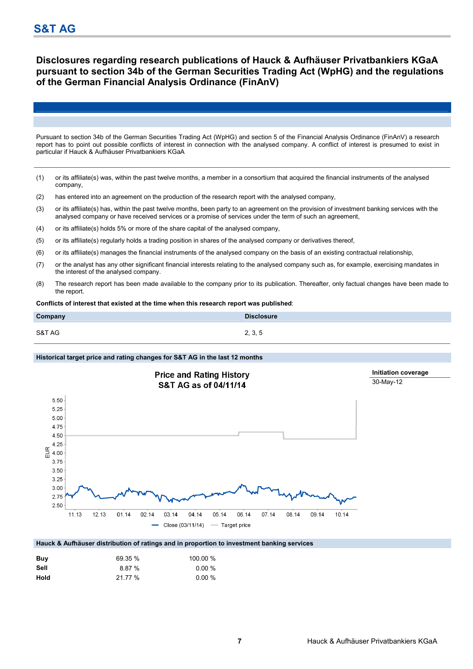### **Disclosures regarding research publications of Hauck & Aufhäuser Privatbankiers KGaA pursuant to section 34b of the German Securities Trading Act (WpHG) and the regulations of the German Financial Analysis Ordinance (FinAnV)**

Pursuant to section 34b of the German Securities Trading Act (WpHG) and section 5 of the Financial Analysis Ordinance (FinAnV) a research report has to point out possible conflicts of interest in connection with the analysed company. A conflict of interest is presumed to exist in particular if Hauck & Aufhäuser Privatbankiers KGaA

- (1) or its affiliate(s) was, within the past twelve months, a member in a consortium that acquired the financial instruments of the analysed company,
- (2) has entered into an agreement on the production of the research report with the analysed company,
- (3) or its affiliate(s) has, within the past twelve months, been party to an agreement on the provision of investment banking services with the analysed company or have received services or a promise of services under the term of such an agreement,
- (4) or its affiliate(s) holds 5% or more of the share capital of the analysed company,
- (5) or its affiliate(s) regularly holds a trading position in shares of the analysed company or derivatives thereof,
- (6) or its affiliate(s) manages the financial instruments of the analysed company on the basis of an existing contractual relationship,
- (7) or the analyst has any other significant financial interests relating to the analysed company such as, for example, exercising mandates in the interest of the analysed company.
- (8) The research report has been made available to the company prior to its publication. Thereafter, only factual changes have been made to the report.

**Conflicts of interest that existed at the time when this research report was published**:

| Company | <b>Disclosure</b> |
|---------|-------------------|
| S&T AG  | 2, 3, 5           |

### **Historical target price and rating changes for S&T AG in the last 12 months**



| Buy  | 69.35 % | 100.00 %  |
|------|---------|-----------|
| Sell | 8.87%   | $0.00 \%$ |
| Hold | 21.77 % | $0.00 \%$ |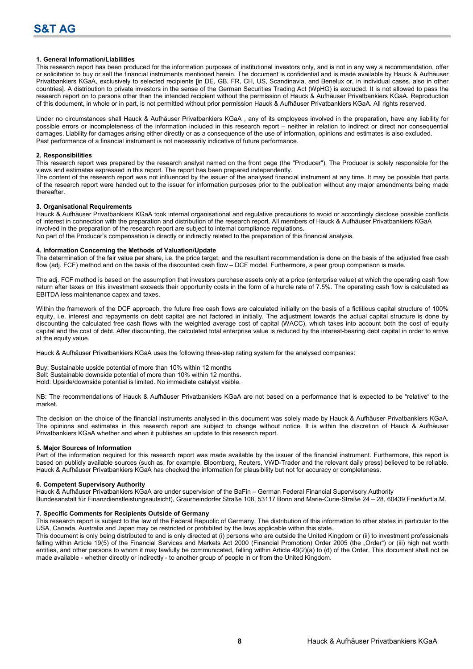#### **1. General Information/Liabilities**

This research report has been produced for the information purposes of institutional investors only, and is not in any way a recommendation, offer or solicitation to buy or sell the financial instruments mentioned herein. The document is confidential and is made available by Hauck & Aufhäuser Privatbankiers KGaA, exclusively to selected recipients [in DE, GB, FR, CH, US, Scandinavia, and Benelux or, in individual cases, also in other countries]. A distribution to private investors in the sense of the German Securities Trading Act (WpHG) is excluded. It is not allowed to pass the research report on to persons other than the intended recipient without the permission of Hauck & Aufhäuser Privatbankiers KGaA. Reproduction of this document, in whole or in part, is not permitted without prior permission Hauck & Aufhäuser Privatbankiers KGaA. All rights reserved.

Under no circumstances shall Hauck & Aufhäuser Privatbankiers KGaA , any of its employees involved in the preparation, have any liability for possible errors or incompleteness of the information included in this research report – neither in relation to indirect or direct nor consequential damages. Liability for damages arising either directly or as a consequence of the use of information, opinions and estimates is also excluded. Past performance of a financial instrument is not necessarily indicative of future performance.

#### **2. Responsibilities**

This research report was prepared by the research analyst named on the front page (the "Producer"). The Producer is solely responsible for the views and estimates expressed in this report. The report has been prepared independently.

The content of the research report was not influenced by the issuer of the analysed financial instrument at any time. It may be possible that parts of the research report were handed out to the issuer for information purposes prior to the publication without any major amendments being made thereafter.

#### **3. Organisational Requirements**

Hauck & Aufhäuser Privatbankiers KGaA took internal organisational and regulative precautions to avoid or accordingly disclose possible conflicts of interest in connection with the preparation and distribution of the research report. All members of Hauck & Aufhäuser Privatbankiers KGaA involved in the preparation of the research report are subject to internal compliance regulations.

No part of the Producer's compensation is directly or indirectly related to the preparation of this financial analysis.

#### **4. Information Concerning the Methods of Valuation/Update**

The determination of the fair value per share, i.e. the price target, and the resultant recommendation is done on the basis of the adjusted free cash flow (adj. FCF) method and on the basis of the discounted cash flow – DCF model. Furthermore, a peer group comparison is made.

The adj. FCF method is based on the assumption that investors purchase assets only at a price (enterprise value) at which the operating cash flow return after taxes on this investment exceeds their opportunity costs in the form of a hurdle rate of 7.5%. The operating cash flow is calculated as EBITDA less maintenance capex and taxes.

Within the framework of the DCF approach, the future free cash flows are calculated initially on the basis of a fictitious capital structure of 100% equity, i.e. interest and repayments on debt capital are not factored in initially. The adjustment towards the actual capital structure is done by discounting the calculated free cash flows with the weighted average cost of capital (WACC), which takes into account both the cost of equity capital and the cost of debt. After discounting, the calculated total enterprise value is reduced by the interest-bearing debt capital in order to arrive at the equity value.

Hauck & Aufhäuser Privatbankiers KGaA uses the following three-step rating system for the analysed companies:

Buy: Sustainable upside potential of more than 10% within 12 months Sell: Sustainable downside potential of more than 10% within 12 months. Hold: Upside/downside potential is limited. No immediate catalyst visible.

NB: The recommendations of Hauck & Aufhäuser Privatbankiers KGaA are not based on a performance that is expected to be "relative" to the market.

The decision on the choice of the financial instruments analysed in this document was solely made by Hauck & Aufhäuser Privatbankiers KGaA. The opinions and estimates in this research report are subject to change without notice. It is within the discretion of Hauck & Aufhäuser Privatbankiers KGaA whether and when it publishes an update to this research report.

#### **5. Major Sources of Information**

Part of the information required for this research report was made available by the issuer of the financial instrument. Furthermore, this report is based on publicly available sources (such as, for example, Bloomberg, Reuters, VWD-Trader and the relevant daily press) believed to be reliable. Hauck & Aufhäuser Privatbankiers KGaA has checked the information for plausibility but not for accuracy or completeness.

#### **6. Competent Supervisory Authority**

Hauck & Aufhäuser Privatbankiers KGaA are under supervision of the BaFin – German Federal Financial Supervisory Authority

Bundesanstalt für Finanzdienstleistungsaufsicht), Graurheindorfer Straße 108, 53117 Bonn and Marie-Curie-Straße 24 – 28, 60439 Frankfurt a.M. **7. Specific Comments for Recipients Outside of Germany** 

This research report is subject to the law of the Federal Republic of Germany. The distribution of this information to other states in particular to the USA, Canada, Australia and Japan may be restricted or prohibited by the laws applicable within this state.

This document is only being distributed to and is only directed at (i) persons who are outside the United Kingdom or (ii) to investment professionals falling within Article 19(5) of the Financial Services and Markets Act 2000 (Financial Promotion) Order 2005 (the "Order") or (iii) high net worth entities, and other persons to whom it may lawfully be communicated, falling within Article 49(2)(a) to (d) of the Order. This document shall not be made available - whether directly or indirectly - to another group of people in or from the United Kingdom.